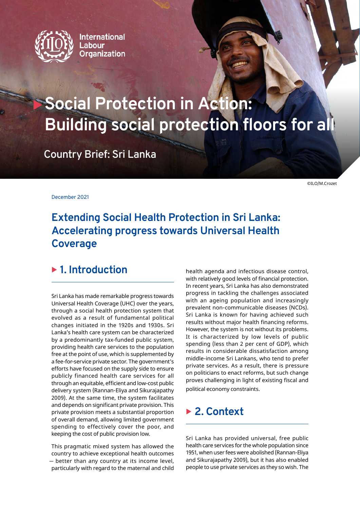

**International** Labour **Organization** 

## **Social Protection in Action: Building social protection floors for all**

**Country Brief: Sri Lanka**

©ILO/M.Crozet

December 2021

## **Extending Social Health Protection in Sri Lanka: Accelerating progress towards Universal Health Coverage**

### ▶ 1. Introduction

Sri Lanka has made remarkable progress towards Universal Health Coverage (UHC) over the years, through a social health protection system that evolved as a result of fundamental political changes initiated in the 1920s and 1930s. Sri Lanka's health care system can be characterized by a predominantly tax-funded public system, providing health care services to the population free at the point of use, which is supplemented by a fee-for-service private sector. The government's efforts have focused on the supply side to ensure publicly financed health care services for all through an equitable, efficient and low-cost public delivery system (Rannan-Eliya and Sikurajapathy 2009). At the same time, the system facilitates and depends on significant private provision. This private provision meets a substantial proportion of overall demand, allowing limited government spending to effectively cover the poor, and keeping the cost of public provision low.

This pragmatic mixed system has allowed the country to achieve exceptional health outcomes ̶ better than any country at its income level, particularly with regard to the maternal and child

health agenda and infectious disease control, with relatively good levels of financial protection. In recent years, Sri Lanka has also demonstrated progress in tackling the challenges associated with an ageing population and increasingly prevalent non-communicable diseases (NCDs). Sri Lanka is known for having achieved such results without major health financing reforms. However, the system is not without its problems. It is characterized by low levels of public spending (less than 2 per cent of GDP), which results in considerable dissatisfaction among middle-income Sri Lankans, who tend to prefer private services. As a result, there is pressure on politicians to enact reforms, but such change proves challenging in light of existing fiscal and political economy constraints.

### ▶ 2. Context

Sri Lanka has provided universal, free public health care services for the whole population since 1951, when user fees were abolished (Rannan-Eliya and Sikurajapathy 2009), but it has also enabled people to use private services as they so wish. The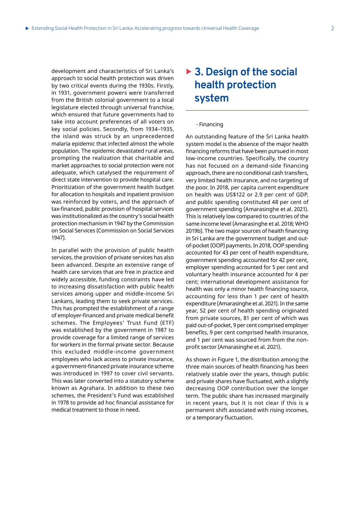development and characteristics of Sri Lanka's approach to social health protection was driven by two critical events during the 1930s. Firstly, in 1931, government powers were transferred from the British colonial government to a local legislature elected through universal franchise, which ensured that future governments had to take into account preferences of all voters on key social policies. Secondly, from 1934–1935, the island was struck by an unprecedented malaria epidemic that infected almost the whole population. The epidemic devastated rural areas, prompting the realization that charitable and market approaches to social protection were not adequate, which catalysed the requirement of direct state intervention to provide hospital care. Prioritization of the government health budget for allocation to hospitals and inpatient provision was reinforced by voters, and the approach of tax-financed, public provision of hospital services was institutionalized as the country's social health protection mechanism in 1947 by the Commission on Social Services (Commission on Social Services 1947).

In parallel with the provision of public health services, the provision of private services has also been advanced. Despite an extensive range of health care services that are free in practice and widely accessible, funding constraints have led to increasing dissatisfaction with public health services among upper and middle-income Sri Lankans, leading them to seek private services. This has prompted the establishment of a range of employer-financed and private medical benefit schemes. The Employees' Trust Fund (ETF) was established by the government in 1987 to provide coverage for a limited range of services for workers in the formal private sector. Because this excluded middle-income government employees who lack access to private insurance, a government-financed private insurance scheme was introduced in 1997 to cover civil servants. This was later converted into a statutory scheme known as Agrahara. In addition to these two schemes, the President's Fund was established in 1978 to provide ad hoc financial assistance for medical treatment to those in need.

### ▶ 3. Design of the social **health protection system**

#### - Financing

An outstanding feature of the Sri Lanka health system model is the absence of the major health financing reforms that have been pursued in most low-income countries. Specifically, the country has not focused on a demand-side financing approach, there are no conditional cash transfers, very limited health insurance, and no targeting of the poor. In 2018, per capita current expenditure on health was US\$122 or 2.9 per cent of GDP, and public spending constituted 48 per cent of government spending (Amarasinghe et al. 2021). This is relatively low compared to countries of the same income level (Amarasinghe et al. 2018; WHO 2019b). The two major sources of health financing in Sri Lanka are the government budget and outof-pocket (OOP) payments. In 2018, OOP spending accounted for 43 per cent of health expenditure, government spending accounted for 42 per cent, employer spending accounted for 5 per cent and voluntary health insurance accounted for 4 per cent; international development assistance for health was only a minor health financing source, accounting for less than 1 per cent of health expenditure (Amarasinghe et al. 2021). In the same year, 52 per cent of health spending originated from private sources, 81 per cent of which was paid out-of-pocket, 9 per cent comprised employer benefits, 9 per cent comprised health insurance, and 1 per cent was sourced from from the nonprofit sector (Amarasinghe et al. 2021).

As shown in Figure 1, the distribution among the three main sources of health financing has been relatively stable over the years, though public and private shares have fluctuated, with a slightly decreasing OOP contribution over the longer term. The public share has increased marginally in recent years, but it is not clear if this is a permanent shift associated with rising incomes, or a temporary fluctuation.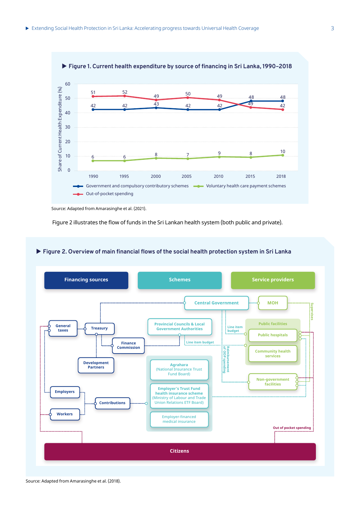

Source: Adapted from Amarasinghe et al. (2021).

Figure 2 illustrates the flow of funds in the Sri Lankan health system (both public and private).

### X **Figure 2. Overview of main financial flows of the social health protection system in Sri Lanka**

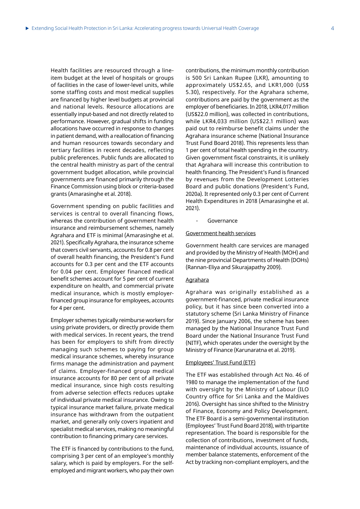Health facilities are resourced through a lineitem budget at the level of hospitals or groups of facilities in the case of lower-level units, while some staffing costs and most medical supplies are financed by higher level budgets at provincial and national levels. Resource allocations are essentially input-based and not directly related to performance. However, gradual shifts in funding allocations have occurred in response to changes in patient demand, with a reallocation of financing and human resources towards secondary and tertiary facilities in recent decades, reflecting public preferences. Public funds are allocated to the central health ministry as part of the central government budget allocation, while provincial governments are financed primarily through the Finance Commission using block or criteria-based grants (Amarasinghe et al. 2018).

Government spending on public facilities and services is central to overall financing flows, whereas the contribution of government health insurance and reimbursement schemes, namely Agrahara and ETF is minimal (Amarasinghe et al. 2021). Specifically Agrahara, the insurance scheme that covers civil servants, accounts for 0.8 per cent of overall health financing, the President's Fund accounts for 0.3 per cent and the ETF accounts for 0.04 per cent. Employer financed medical benefit schemes account for 5 per cent of current expenditure on health, and commercial private medical insurance, which is mostly employerfinanced group insurance for employees, accounts for 4 per cent.

Employer schemes typically reimburse workers for using private providers, or directly provide them with medical services. In recent years, the trend has been for employers to shift from directly managing such schemes to paying for group medical insurance schemes, whereby insurance firms manage the administration and payment of claims. Employer-financed group medical insurance accounts for 80 per cent of all private medical insurance, since high costs resulting from adverse selection effects reduces uptake of individual private medical insurance. Owing to typical insurance market failure, private medical insurance has withdrawn from the outpatient market, and generally only covers inpatient and specialist medical services, making no meaningful contribution to financing primary care services.

The ETF is financed by contributions to the fund, comprising 3 per cent of an employee's monthly salary, which is paid by employers. For the selfemployed and migrant workers, who pay their own

contributions, the minimum monthly contribution is 500 Sri Lankan Rupee (LKR), amounting to approximately US\$2.65, and LKR1,000 (US\$ 5.30), respectively. For the Agrahara scheme, contributions are paid by the government as the employer of beneficiaries. In 2018, LKR4,017 million (US\$22.0 million), was collected in contributions, while LKR4,033 million (US\$22.1 million) was paid out to reimburse benefit claims under the Agrahara insurance scheme (National Insurance Trust Fund Board 2018). This represents less than 1 per cent of total health spending in the country. Given government fiscal constraints, it is unlikely that Agrahara will increase this contribution to health financing. The President's Fund is financed by revenues from the Development Lotteries Board and public donations (President's Fund, 2020a). It represented only 0.3 per cent of Current Health Expenditures in 2018 (Amarasinghe et al. 2021).

Governance

#### Government health services

Government health care services are managed and provided by the Ministry of Health (MOH) and the nine provincial Departments of Health (DOHs) (Rannan-Eliya and Sikurajapathy 2009).

#### Agrahara

Agrahara was originally established as a government-financed, private medical insurance policy, but it has since been converted into a statutory scheme (Sri Lanka Ministry of Finance 2019). Since January 2006, the scheme has been managed by the National Insurance Trust Fund Board under the National Insurance Trust Fund (NITF), which operates under the oversight by the Ministry of Finance (Karunaratna et al. 2019).

#### Employees' Trust Fund (ETF)

The ETF was established through Act No. 46 of 1980 to manage the implementation of the fund with oversight by the Ministry of Labour (ILO Country office for Sri Lanka and the Maldives 2016). Oversight has since shifted to the Ministry of Finance, Economy and Policy Development. The ETF Board is a semi-governmental institution (Employees' Trust Fund Board 2018), with tripartite representation. The board is responsible for the collection of contributions, investment of funds, maintenance of individual accounts, issuance of member balance statements, enforcement of the Act by tracking non-compliant employers, and the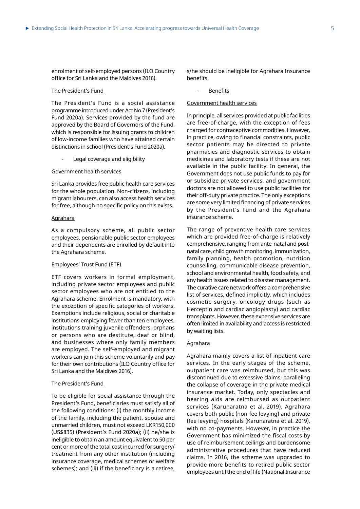enrolment of self-employed persons (ILO Country office for Sri Lanka and the Maldives 2016).

#### The President's Fund

The President's Fund is a social assistance programme introduced under Act No.7 (President's Fund 2020a). Services provided by the fund are approved by the Board of Governors of the Fund, which is responsible for issuing grants to children of low-income families who have attained certain distinctions in school (President's Fund 2020a).

Legal coverage and eligibility

#### Government health services

Sri Lanka provides free public health care services for the whole population. Non-citizens, including migrant labourers, can also access health services for free, although no specific policy on this exists.

#### Agrahara

As a compulsory scheme, all public sector employees, pensionable public sector employees and their dependents are enrolled by default into the Agrahara scheme.

#### Employees' Trust Fund (ETF)

ETF covers workers in formal employment, including private sector employees and public sector employees who are not entitled to the Agrahara scheme. Enrolment is mandatory, with the exception of specific categories of workers. Exemptions include religious, social or charitable institutions employing fewer than ten employees, institutions training juvenile offenders, orphans or persons who are destitute, deaf or blind, and businesses where only family members are employed. The self-employed and migrant workers can join this scheme voluntarily and pay for their own contributions (ILO Country office for Sri Lanka and the Maldives 2016).

#### The President's Fund

To be eligible for social assistance through the President's Fund, beneficiaries must satisfy all of the following conditions: (i) the monthly income of the family, including the patient, spouse and unmarried children, must not exceed LKR150,000 (US\$835) (President's Fund 2020a); (ii) he/she is ineligible to obtain an amount equivalent to 50 per cent or more of the total cost incurred for surgery/ treatment from any other institution (including insurance coverage, medical schemes or welfare schemes); and (iii) if the beneficiary is a retiree,

s/he should be ineligible for Agrahara Insurance benefits.

**Benefits** 

#### Government health services

In principle, all services provided at public facilities are free-of-charge, with the exception of fees charged for contraceptive commodities. However, in practice, owing to financial constraints, public sector patients may be directed to private pharmacies and diagnostic services to obtain medicines and laboratory tests if these are not available in the public facility. In general, the Government does not use public funds to pay for or subsidize private services, and government doctors are not allowed to use public facilities for their off-duty private practice. The only exceptions are some very limited financing of private services by the President's Fund and the Agrahara insurance scheme.

The range of preventive health care services which are provided free-of-charge is relatively comprehensive, ranging from ante-natal and postnatal care, child growth monitoring, immunization, family planning, health promotion, nutrition counselling, communicable disease prevention, school and environmental health, food safety, and any health issues related to disaster management. The curative care network offers a comprehensive list of services, defined implicitly, which includes cosmetic surgery, oncology drugs (such as Herceptin and cardiac angioplasty) and cardiac transplants. However, these expensive services are often limited in availability and access is restricted by waiting lists.

#### Agrahara

Agrahara mainly covers a list of inpatient care services. In the early stages of the scheme, outpatient care was reimbursed, but this was discontinued due to excessive claims, paralleling the collapse of coverage in the private medical insurance market. Today, only spectacles and hearing aids are reimbursed as outpatient services (Karunaratna et al. 2019). Agrahara covers both public (non-fee levying) and private (fee levying) hospitals (Karunaratna et al. 2019), with no co-payments. However, in practice the Government has minimized the fiscal costs by use of reimbursement ceilings and burdensome administrative procedures that have reduced claims. In 2016, the scheme was upgraded to provide more benefits to retired public sector employees until the end of life (National Insurance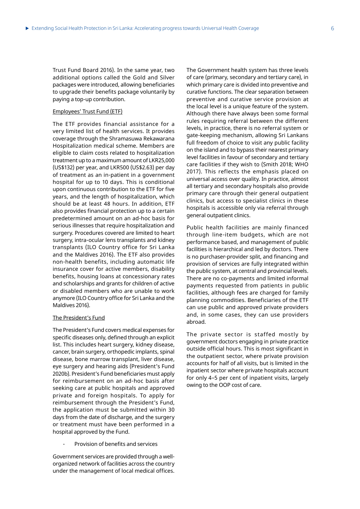Trust Fund Board 2016). In the same year, two additional options called the Gold and Silver packages were introduced, allowing beneficiaries to upgrade their benefits package voluntarily by paying a top-up contribution.

#### Employees' Trust Fund (ETF)

The ETF provides financial assistance for a very limited list of health services. It provides coverage through the Shramasuwa Rekawarana Hospitalization medical scheme. Members are eligible to claim costs related to hospitalization treatment up to a maximum amount of LKR25,000 (US\$132) per year, and LKR500 (US\$2.63) per day of treatment as an in-patient in a government hospital for up to 10 days. This is conditional upon continuous contribution to the ETF for five years, and the length of hospitalization, which should be at least 48 hours. In addition, ETF also provides financial protection up to a certain predetermined amount on an ad-hoc basis for serious illnesses that require hospitalization and surgery. Procedures covered are limited to heart surgery, intra-ocular lens transplants and kidney transplants (ILO Country office for Sri Lanka and the Maldives 2016). The ETF also provides non-health benefits, including automatic life insurance cover for active members, disability benefits, housing loans at concessionary rates and scholarships and grants for children of active or disabled members who are unable to work anymore (ILO Country office for Sri Lanka and the Maldives 2016).

#### The President's Fund

The President's Fund covers medical expenses for specific diseases only, defined through an explicit list. This includes heart surgery, kidney disease, cancer, brain surgery, orthopedic implants, spinal disease, bone marrow transplant, liver disease, eye surgery and hearing aids (President's Fund 2020b). President's Fund beneficiaries must apply for reimbursement on an ad-hoc basis after seeking care at public hospitals and approved private and foreign hospitals. To apply for reimbursement through the President's Fund, the application must be submitted within 30 days from the date of discharge, and the surgery or treatment must have been performed in a hospital approved by the Fund.

Provision of benefits and services

Government services are provided through a wellorganized network of facilities across the country under the management of local medical offices.

The Government health system has three levels of care (primary, secondary and tertiary care), in which primary care is divided into preventive and curative functions. The clear separation between preventive and curative service provision at the local level is a unique feature of the system. Although there have always been some formal rules requiring referral between the different levels, in practice, there is no referral system or gate-keeping mechanism, allowing Sri Lankans full freedom of choice to visit any public facility on the island and to bypass their nearest primary level facilities in favour of secondary and tertiary care facilities if they wish to (Smith 2018; WHO 2017). This reflects the emphasis placed on universal access over quality. In practice, almost all tertiary and secondary hospitals also provide primary care through their general outpatient clinics, but access to specialist clinics in these hospitals is accessible only via referral through general outpatient clinics.

Public health facilities are mainly financed through line-item budgets, which are not performance based, and management of public facilities is hierarchical and led by doctors. There is no purchaser-provider split, and financing and provision of services are fully integrated within the public system, at central and provincial levels. There are no co-payments and limited informal payments requested from patients in public facilities, although fees are charged for family planning commodities. Beneficiaries of the ETF can use public and approved private providers and, in some cases, they can use providers abroad.

The private sector is staffed mostly by government doctors engaging in private practice outside official hours. This is most significant in the outpatient sector, where private provision accounts for half of all visits, but is limited in the inpatient sector where private hospitals account for only 4–5 per cent of inpatient visits, largely owing to the OOP cost of care.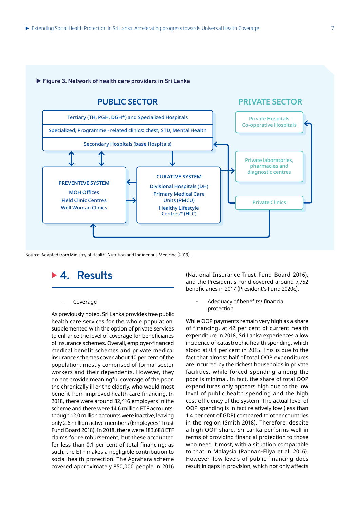#### X **Figure 3. Network of health care providers in Sri Lanka**



Source: Adapted from Ministry of Health, Nutrition and Indigenous Medicine (2019).

<sup>X</sup> **4. Results**

#### **Coverage**

As previously noted, Sri Lanka provides free public health care services for the whole population, supplemented with the option of private services to enhance the level of coverage for beneficiaries of insurance schemes. Overall, employer-financed medical benefit schemes and private medical insurance schemes cover about 10 per cent of the population, mostly comprised of formal sector workers and their dependents. However, they do not provide meaningful coverage of the poor, the chronically ill or the elderly, who would most benefit from improved health care financing. In 2018, there were around 82,416 employers in the scheme and there were 14.6 million ETF accounts, though 12.0 million accounts were inactive, leaving only 2.6 million active members (Employees' Trust Fund Board 2018). In 2018, there were 183,688 ETF claims for reimbursement, but these accounted for less than 0.1 per cent of total financing; as such, the ETF makes a negligible contribution to social health protection. The Agrahara scheme covered approximately 850,000 people in 2016

(National Insurance Trust Fund Board 2016), and the President's Fund covered around 7,752 beneficiaries in 2017 (President's Fund 2020c).

> - Adequacy of benefits/ financial protection

While OOP payments remain very high as a share of financing, at 42 per cent of current health expenditure in 2018, Sri Lanka experiences a low incidence of catastrophic health spending, which stood at 0.4 per cent in 2015. This is due to the fact that almost half of total OOP expenditures are incurred by the richest households in private facilities, while forced spending among the poor is minimal. In fact, the share of total OOP expenditures only appears high due to the low level of public health spending and the high cost-efficiency of the system. The actual level of OOP spending is in fact relatively low (less than 1.4 per cent of GDP) compared to other countries in the region (Smith 2018). Therefore, despite a high OOP share, Sri Lanka performs well in terms of providing financial protection to those who need it most, with a situation comparable to that in Malaysia (Rannan-Eliya et al. 2016). However, low levels of public financing does result in gaps in provision, which not only affects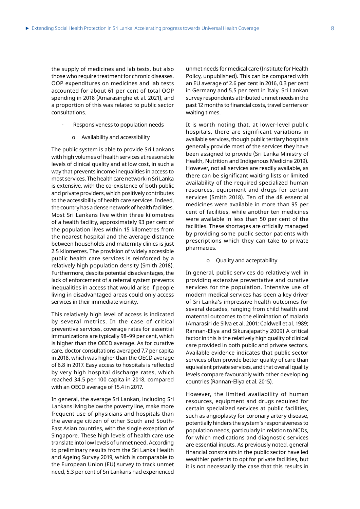the supply of medicines and lab tests, but also those who require treatment for chronic diseases. OOP expenditures on medicines and lab tests accounted for about 61 per cent of total OOP spending in 2018 (Amarasinghe et al. 2021), and a proportion of this was related to public sector consultations.

- Responsiveness to population needs
	- o Availability and accessibility

The public system is able to provide Sri Lankans with high volumes of health services at reasonable levels of clinical quality and at low cost, in such a way that prevents income inequalities in access to most services. The health care network in Sri Lanka is extensive, with the co-existence of both public and private providers, which positively contributes to the accessibility of health care services. Indeed, the country has a dense network of health facilities. Most Sri Lankans live within three kilometres of a health facility, approximately 93 per cent of the population lives within 15 kilometres from the nearest hospital and the average distance between households and maternity clinics is just 2.5 kilometres. The provision of widely accessible public health care services is reinforced by a relatively high population density (Smith 2018). Furthermore, despite potential disadvantages, the lack of enforcement of a referral system prevents inequalities in access that would arise if people living in disadvantaged areas could only access services in their immediate vicinity.

This relatively high level of access is indicated by several metrics. In the case of critical preventive services, coverage rates for essential immunizations are typically 98–99 per cent, which is higher than the OECD average. As for curative care, doctor consultations averaged 7.7 per capita in 2018, which was higher than the OECD average of 6.8 in 2017. Easy access to hospitals is reflected by very high hospital discharge rates, which reached 34.5 per 100 capita in 2018, compared with an OECD average of 15.4 in 2017.

In general, the average Sri Lankan, including Sri Lankans living below the poverty line, make more frequent use of physicians and hospitals than the average citizen of other South and South-East Asian countries, with the single exception of Singapore. These high levels of health care use translate into low levels of unmet need. According to preliminary results from the Sri Lanka Health and Ageing Survey 2019, which is comparable to the European Union (EU) survey to track unmet need, 5.3 per cent of Sri Lankans had experienced

unmet needs for medical care (Institute for Health Policy, unpublished). This can be compared with an EU average of 2.6 per cent in 2016, 0.3 per cent in Germany and 5.5 per cent in Italy. Sri Lankan survey respondents attributed unmet needs in the past 12 months to financial costs, travel barriers or waiting times.

It is worth noting that, at lower-level public hospitals, there are significant variations in available services, though public tertiary hospitals generally provide most of the services they have been assigned to provide (Sri Lanka Ministry of Health, Nutrition and Indigenous Medicine 2019). However, not all services are readily available, as there can be significant waiting lists or limited availability of the required specialized human resources, equipment and drugs for certain services (Smith 2018). Ten of the 48 essential medicines were available in more than 95 per cent of facilities, while another ten medicines were available in less than 50 per cent of the facilities. These shortages are officially managed by providing some public sector patients with prescriptions which they can take to private pharmacies.

#### o Quality and acceptability

In general, public services do relatively well in providing extensive preventative and curative services for the population. Intensive use of modern medical services has been a key driver of Sri Lanka's impressive health outcomes for several decades, ranging from child health and maternal outcomes to the elimination of malaria (Amarasiri de Silva et al. 2001; Caldwell et al. 1989; Rannan-Eliya and Sikurajapathy 2009) A critical factor in this is the relatively high quality of clinical care provided in both public and private sectors. Available evidence indicates that public sector services often provide better quality of care than equivalent private services, and that overall quality levels compare favourably with other developing countries (Rannan-Eliya et al. 2015).

However, the limited availability of human resources, equipment and drugs required for certain specialized services at public facilities, such as angioplasty for coronary artery disease, potentially hinders the system's responsiveness to population needs, particularly in relation to NCDs, for which medications and diagnostic services are essential inputs. As previously noted, general financial constraints in the public sector have led wealthier patients to opt for private facilities, but it is not necessarily the case that this results in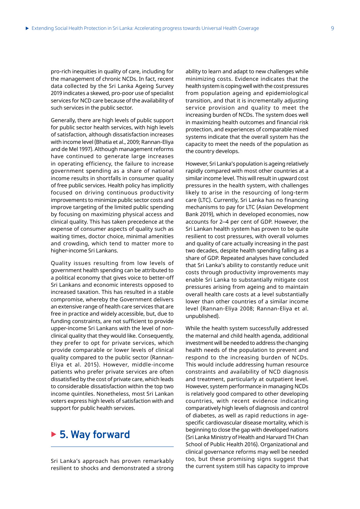pro-rich inequities in quality of care, including for the management of chronic NCDs. In fact, recent data collected by the Sri Lanka Ageing Survey 2019 indicates a skewed, pro-poor use of specialist services for NCD care because of the availability of such services in the public sector.

Generally, there are high levels of public support for public sector health services, with high levels of satisfaction, although dissatisfaction increases with income level (Bhatia et al., 2009; Rannan-Eliya and de Mel 1997). Although management reforms have continued to generate large increases in operating efficiency, the failure to increase government spending as a share of national income results in shortfalls in consumer quality of free public services. Health policy has implicitly focused on driving continuous productivity improvements to minimize public sector costs and improve targeting of the limited public spending by focusing on maximizing physical access and clinical quality. This has taken precedence at the expense of consumer aspects of quality such as waiting times, doctor choice, minimal amenities and crowding, which tend to matter more to higher-income Sri Lankans.

Quality issues resulting from low levels of government health spending can be attributed to a political economy that gives voice to better-off Sri Lankans and economic interests opposed to increased taxation. This has resulted in a stable compromise, whereby the Government delivers an extensive range of health care services that are free in practice and widely accessible, but, due to funding constraints, are not sufficient to provide upper-income Sri Lankans with the level of nonclinical quality that they would like. Consequently, they prefer to opt for private services, which provide comparable or lower levels of clinical quality compared to the public sector (Rannan-Eliya et al. 2015). However, middle-income patients who prefer private services are often dissatisfied by the cost of private care, which leads to considerable dissatisfaction within the top two income quintiles. Nonetheless, most Sri Lankan voters express high levels of satisfaction with and support for public health services.

### ▶ 5. Way forward

Sri Lanka's approach has proven remarkably resilient to shocks and demonstrated a strong ability to learn and adapt to new challenges while minimizing costs. Evidence indicates that the health system is coping well with the cost pressures from population ageing and epidemiological transition, and that it is incrementally adjusting service provision and quality to meet the increasing burden of NCDs. The system does well in maximizing health outcomes and financial risk protection, and experiences of comparable mixed systems indicate that the overall system has the capacity to meet the needs of the population as the country develops.

However, Sri Lanka's population is ageing relatively rapidly compared with most other countries at a similar income level. This will result in upward cost pressures in the health system, with challenges likely to arise in the resourcing of long-term care (LTC). Currently, Sri Lanka has no financing mechanisms to pay for LTC (Asian Development Bank 2019), which in developed economies, now accounts for 2-4 per cent of GDP. However, the Sri Lankan health system has proven to be quite resilient to cost pressures, with overall volumes and quality of care actually increasing in the past two decades, despite health spending falling as a share of GDP. Repeated analyses have concluded that Sri Lanka's ability to constantly reduce unit costs through productivity improvements may enable Sri Lanka to substantially mitigate cost pressures arising from ageing and to maintain overall health care costs at a level substantially lower than other countries of a similar income level (Rannan-Eliya 2008; Rannan-Eliya et al. unpublished).

While the health system successfully addressed the maternal and child health agenda, additional investment will be needed to address the changing health needs of the population to prevent and respond to the increasing burden of NCDs. This would include addressing human resource constraints and availability of NCD diagnosis and treatment, particularly at outpatient level. However, system performance in managing NCDs is relatively good compared to other developing countries, with recent evidence indicating comparatively high levels of diagnosis and control of diabetes, as well as rapid reductions in agespecific cardiovascular disease mortality, which is beginning to close the gap with developed nations (Sri Lanka Ministry of Health and Harvard TH Chan School of Public Health 2016). Organizational and clinical governance reforms may well be needed too, but these promising signs suggest that the current system still has capacity to improve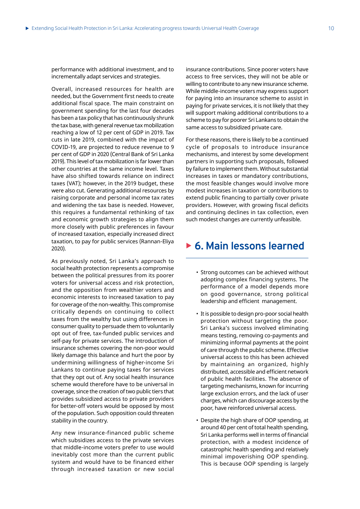performance with additional investment, and to incrementally adapt services and strategies.

Overall, increased resources for health are needed, but the Government first needs to create additional fiscal space. The main constraint on government spending for the last four decades has been a tax policy that has continuously shrunk the tax base, with general revenue tax mobilization reaching a low of 12 per cent of GDP in 2019. Tax cuts in late 2019, combined with the impact of COVID-19, are projected to reduce revenue to 9 per cent of GDP in 2020 (Central Bank of Sri Lanka 2019). This level of tax mobilization is far lower than other countries at the same income level. Taxes have also shifted towards reliance on indirect taxes (VAT); however, in the 2019 budget, these were also cut. Generating additional resources by raising corporate and personal income tax rates and widening the tax base is needed. However, this requires a fundamental rethinking of tax and economic growth strategies to align them more closely with public preferences in favour of increased taxation, especially increased direct taxation, to pay for public services (Rannan-Eliya 2020).

As previously noted, Sri Lanka's approach to social health protection represents a compromise between the political pressures from its poorer voters for universal access and risk protection, and the opposition from wealthier voters and economic interests to increased taxation to pay for coverage of the non-wealthy. This compromise critically depends on continuing to collect taxes from the wealthy but using differences in consumer quality to persuade them to voluntarily opt out of free, tax-funded public services and self-pay for private services. The introduction of insurance schemes covering the non-poor would likely damage this balance and hurt the poor by undermining willingness of higher-income Sri Lankans to continue paying taxes for services that they opt out of. Any social health insurance scheme would therefore have to be universal in coverage, since the creation of two public tiers that provides subsidized access to private providers for better-off voters would be opposed by most of the population. Such opposition could threaten stability in the country.

Any new insurance-financed public scheme which subsidizes access to the private services that middle-income voters prefer to use would inevitably cost more than the current public system and would have to be financed either through increased taxation or new social

insurance contributions. Since poorer voters have access to free services, they will not be able or willing to contribute to any new insurance scheme. While middle-income voters may express support for paying into an insurance scheme to assist in paying for private services, it is not likely that they will support making additional contributions to a scheme to pay for poorer Sri Lankans to obtain the same access to subsidized private care.

For these reasons, there is likely to be a continued cycle of proposals to introduce insurance mechanisms, and interest by some development partners in supporting such proposals, followed by failure to implement them. Without substantial increases in taxes or mandatory contributions, the most feasible changes would involve more modest increases in taxation or contributions to extend public financing to partially cover private providers. However, with growing fiscal deficits and continuing declines in tax collection, even such modest changes are currently unfeasible.

### ▶ **6. Main lessons learned**

- Strong outcomes can be achieved without adopting complex financing systems. The performance of a model depends more on good governance, strong political leadership and efficient management.
- It is possible to design pro-poor social health protection without targeting the poor. Sri Lanka's success involved eliminating means testing, removing co-payments and minimizing informal payments at the point of care through the public scheme. Effective universal access to this has been achieved by maintaining an organized, highly distributed, accessible and efficient network of public health facilities. The absence of targeting mechanisms, known for incurring large exclusion errors, and the lack of user charges, which can discourage access by the poor, have reinforced universal access.
- Despite the high share of OOP spending, at around 40 per cent of total health spending, Sri Lanka performs well in terms of financial protection, with a modest incidence of catastrophic health spending and relatively minimal impoverishing OOP spending. This is because OOP spending is largely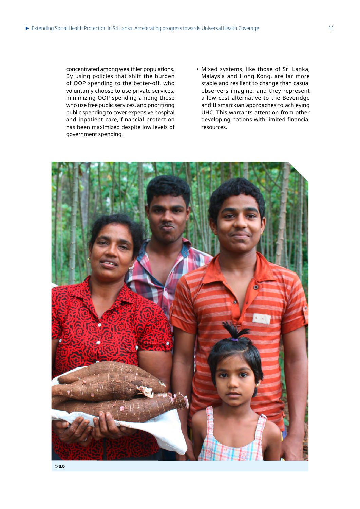concentrated among wealthier populations. By using policies that shift the burden of OOP spending to the better-off, who voluntarily choose to use private services, minimizing OOP spending among those who use free public services, and prioritizing public spending to cover expensive hospital and inpatient care, financial protection has been maximized despite low levels of government spending.

• Mixed systems, like those of Sri Lanka, Malaysia and Hong Kong, are far more stable and resilient to change than casual observers imagine, and they represent a low-cost alternative to the Beveridge and Bismarckian approaches to achieving UHC. This warrants attention from other developing nations with limited financial resources.

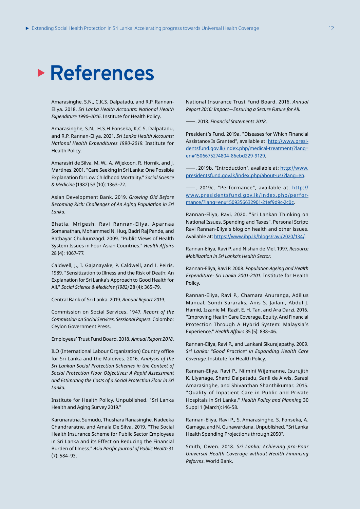# **References**

Amarasinghe, S.N., C.K.S. Dalpatadu, and R.P. Rannan-Eliya. 2018. *Sri Lanka Health Accounts: National Health Expenditure 1990 ̶ 2016*. Institute for Health Policy.

Amarasinghe, S.N., H.S.H Fonseka, K.C.S. Dalpatadu, and R.P. Rannan-Eliya. 2021. *Sri Lanka Health Accounts: National Health Expenditures 1990-2019*. Institute for Health Policy.

Amarasiri de Silva, M. W., A. Wijekoon, R. Hornik, and J. Martines. 2001. "Care Seeking in Sri Lanka: One Possible Explanation for Low Childhood Mortality." *Social Science & Medicine* (1982) 53 (10): 1363–72.

Asian Development Bank. 2019. *Growing Old Before Becoming Rich: Challenges of An Aging Population in Sri Lanka*.

Bhatia, Mrigesh, Ravi Rannan-Eliya, Aparnaa Somanathan, Mohammed N. Huq, Badri Raj Pande, and Batbayar Chuluunzagd. 2009. "Public Views of Health System Issues in Four Asian Countries." *Health Affairs*  28 (4): 1067–77.

Caldwell, J., I. Gajanayake, P. Caldwell, and I. Peiris. 1989. "Sensitization to Illness and the Risk of Death: An Explanation for Sri Lanka's Approach to Good Health for All." *Social Science & Medicine (1982)* 28 (4): 365–79.

Central Bank of Sri Lanka. 2019. *Annual Report 2019*.

Commission on Social Services. 1947. *Report of the Commission on Social Services. Sessional Papers*. Colombo: Ceylon Government Press.

Employees' Trust Fund Board. 2018. *Annual Report 2018*.

ILO (International Labour Organization) Country office for Sri Lanka and the Maldives. 2016. A*nalysis of the Sri Lankan Social Protection Schemes in the Context of Social Protection Floor Objectives: A Rapid Assessment and Estimating the Costs of a Social Protection Floor in Sri Lanka*.

Institute for Health Policy. Unpublished. "Sri Lanka Health and Aging Survey 2019."

Karunaratna, Sumudu, Thushara Ranasinghe, Nadeeka Chandraratne, and Amala De Silva. 2019. "The Social Health Insurance Scheme for Public Sector Employees in Sri Lanka and its Effect on Reducing the Financial Burden of Illness." *Asia Pacific Journal of Public Health* 31 (7): 584–93.

National Insurance Trust Fund Board. 2016. *Annual Report 2016: Impact ̶ Ensuring a Secure Future for All*.

—. 2018. *Financial Statements 2018*.

President's Fund. 2019a. "Diseases for Which Financial Assistance Is Granted", available at: http://www.presidentsfund.gov.lk/index.php/medical-treatment/?lang= en#1506675274804-86ebd229-9129.

—. 2019b. "Introduction", available at: http://www. presidentsfund.gov.lk/index.php/about-us/?lang=en.

—. 2019c. "Performance", available at: http:// www.presidentsfund.gov.lk/index.php/performance/?lang=en#1509356632901-21ef9d9c-2c0c.

Rannan-Eliya, Ravi. 2020. "Sri Lankan Thinking on National Issues, Spending and Taxes". Personal Script: Ravi Rannan-Eliya's blog on health and other issues. Available at: https://www.ihp.lk/blogs/ravi/2020/134/.

Rannan-Eliya, Ravi P, and Nishan de Mel. 1997. *Resource Mobilization in Sri Lanka's Health Sector*.

Rannan-Eliya, Ravi P. 2008. *Population Ageing and Health Expenditure- Sri Lanka 2001-2101*. Institute for Health Policy.

Rannan-Eliya, Ravi P., Chamara Anuranga, Adilius Manual, Sondi Sararaks, Anis S. Jailani, Abdul J. Hamid, Izzanie M. Razif, E. H. Tan, and Ara Darzi. 2016. "Improving Health Care Coverage, Equity, And Financial Protection Through A Hybrid System: Malaysia's Experience." *Health Affairs* 35 (5): 838–46.

Rannan-Eliya, Ravi P., and Lankani Sikurajapathy. 2009. *Sri Lanka: "Good Practice" in Expanding Health Care Coverage*. Institute for Health Policy.

Rannan-Eliya, Ravi P., Nilmini Wijemanne, Isurujith K. Liyanage, Shanti Dalpatadu, Sanil de Alwis, Sarasi Amarasinghe, and Shivanthan Shanthikumar. 2015. "Quality of Inpatient Care in Public and Private Hospitals in Sri Lanka." *Health Policy and Planning* 30 Suppl 1 (March): i46-58.

Rannan-Eliya, Ravi P., S. Amarasinghe, S. Fonseka, A. Gamage, and N. Gunawardana. Unpublished. "Sri Lanka Health Spending Projections through 2050".

Smith, Owen. 2018. *Sri Lanka: Achieving pro-Poor Universal Health Coverage without Health Financing Reforms*. World Bank.